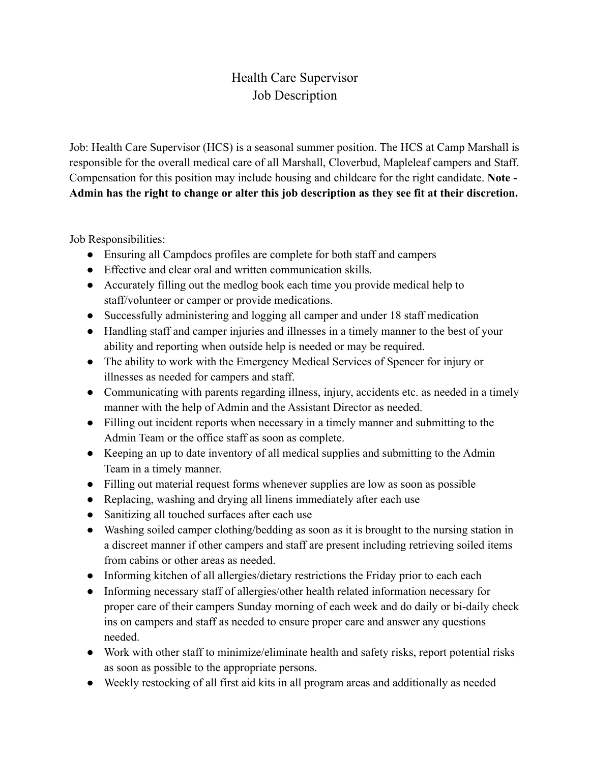## Health Care Supervisor Job Description

Job: Health Care Supervisor (HCS) is a seasonal summer position. The HCS at Camp Marshall is responsible for the overall medical care of all Marshall, Cloverbud, Mapleleaf campers and Staff. Compensation for this position may include housing and childcare for the right candidate. **Note - Admin has the right to change or alter this job description as they see fit at their discretion.**

Job Responsibilities:

- Ensuring all Campdocs profiles are complete for both staff and campers
- Effective and clear oral and written communication skills.
- Accurately filling out the medlog book each time you provide medical help to staff/volunteer or camper or provide medications.
- Successfully administering and logging all camper and under 18 staff medication
- Handling staff and camper injuries and illnesses in a timely manner to the best of your ability and reporting when outside help is needed or may be required.
- The ability to work with the Emergency Medical Services of Spencer for injury or illnesses as needed for campers and staff.
- Communicating with parents regarding illness, injury, accidents etc. as needed in a timely manner with the help of Admin and the Assistant Director as needed.
- Filling out incident reports when necessary in a timely manner and submitting to the Admin Team or the office staff as soon as complete.
- Keeping an up to date inventory of all medical supplies and submitting to the Admin Team in a timely manner.
- Filling out material request forms whenever supplies are low as soon as possible
- Replacing, washing and drying all linens immediately after each use
- Sanitizing all touched surfaces after each use
- Washing soiled camper clothing/bedding as soon as it is brought to the nursing station in a discreet manner if other campers and staff are present including retrieving soiled items from cabins or other areas as needed.
- Informing kitchen of all allergies/dietary restrictions the Friday prior to each each
- Informing necessary staff of allergies/other health related information necessary for proper care of their campers Sunday morning of each week and do daily or bi-daily check ins on campers and staff as needed to ensure proper care and answer any questions needed.
- Work with other staff to minimize/eliminate health and safety risks, report potential risks as soon as possible to the appropriate persons.
- Weekly restocking of all first aid kits in all program areas and additionally as needed